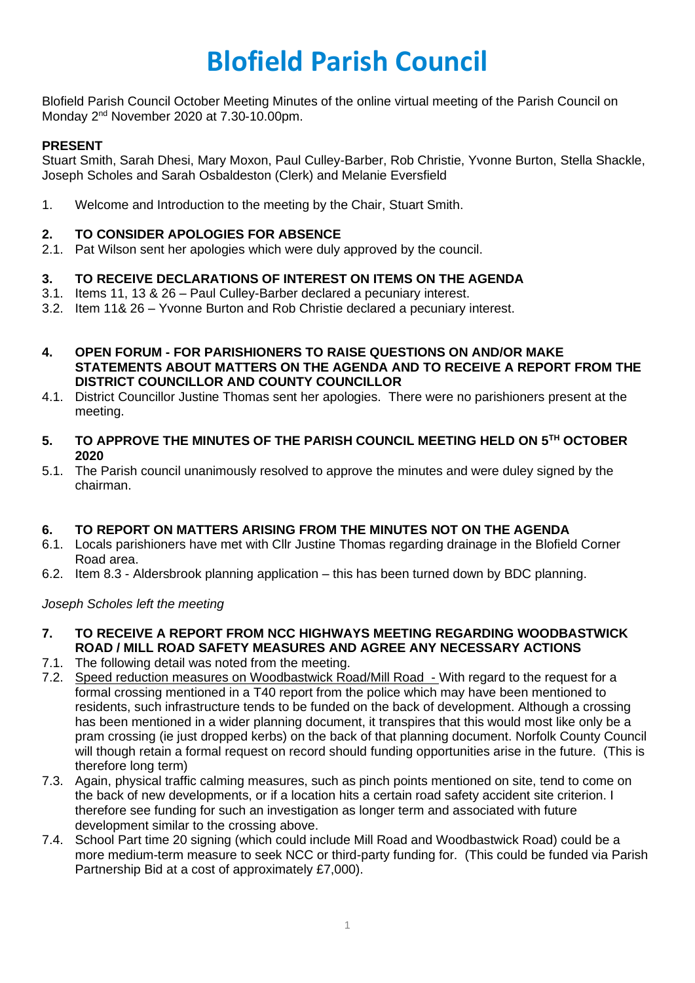# **Blofield Parish Council**

Blofield Parish Council October Meeting Minutes of the online virtual meeting of the Parish Council on Monday 2<sup>nd</sup> November 2020 at 7.30-10.00pm.

## **PRESENT**

Stuart Smith, Sarah Dhesi, Mary Moxon, Paul Culley-Barber, Rob Christie, Yvonne Burton, Stella Shackle, Joseph Scholes and Sarah Osbaldeston (Clerk) and Melanie Eversfield

1. Welcome and Introduction to the meeting by the Chair, Stuart Smith.

#### **2. TO CONSIDER APOLOGIES FOR ABSENCE**

2.1. Pat Wilson sent her apologies which were duly approved by the council.

#### **3. TO RECEIVE DECLARATIONS OF INTEREST ON ITEMS ON THE AGENDA**

- 3.1. Items 11, 13 & 26 Paul Culley-Barber declared a pecuniary interest.
- 3.2. Item 11& 26 Yvonne Burton and Rob Christie declared a pecuniary interest.
- **4. OPEN FORUM - FOR PARISHIONERS TO RAISE QUESTIONS ON AND/OR MAKE STATEMENTS ABOUT MATTERS ON THE AGENDA AND TO RECEIVE A REPORT FROM THE DISTRICT COUNCILLOR AND COUNTY COUNCILLOR**
- 4.1. District Councillor Justine Thomas sent her apologies. There were no parishioners present at the meeting.
- **5. TO APPROVE THE MINUTES OF THE PARISH COUNCIL MEETING HELD ON 5TH OCTOBER 2020**
- 5.1. The Parish council unanimously resolved to approve the minutes and were duley signed by the chairman.

#### **6. TO REPORT ON MATTERS ARISING FROM THE MINUTES NOT ON THE AGENDA**

- 6.1. Locals parishioners have met with Cllr Justine Thomas regarding drainage in the Blofield Corner Road area.
- 6.2. Item 8.3 Aldersbrook planning application this has been turned down by BDC planning.

*Joseph Scholes left the meeting*

- **7. TO RECEIVE A REPORT FROM NCC HIGHWAYS MEETING REGARDING WOODBASTWICK ROAD / MILL ROAD SAFETY MEASURES AND AGREE ANY NECESSARY ACTIONS**
- 7.1. The following detail was noted from the meeting.
- 7.2. Speed reduction measures on Woodbastwick Road/Mill Road With regard to the request for a formal crossing mentioned in a T40 report from the police which may have been mentioned to residents, such infrastructure tends to be funded on the back of development. Although a crossing has been mentioned in a wider planning document, it transpires that this would most like only be a pram crossing (ie just dropped kerbs) on the back of that planning document. Norfolk County Council will though retain a formal request on record should funding opportunities arise in the future. (This is therefore long term)
- 7.3. Again, physical traffic calming measures, such as pinch points mentioned on site, tend to come on the back of new developments, or if a location hits a certain road safety accident site criterion. I therefore see funding for such an investigation as longer term and associated with future development similar to the crossing above.
- 7.4. School Part time 20 signing (which could include Mill Road and Woodbastwick Road) could be a more medium-term measure to seek NCC or third-party funding for. (This could be funded via Parish Partnership Bid at a cost of approximately £7,000).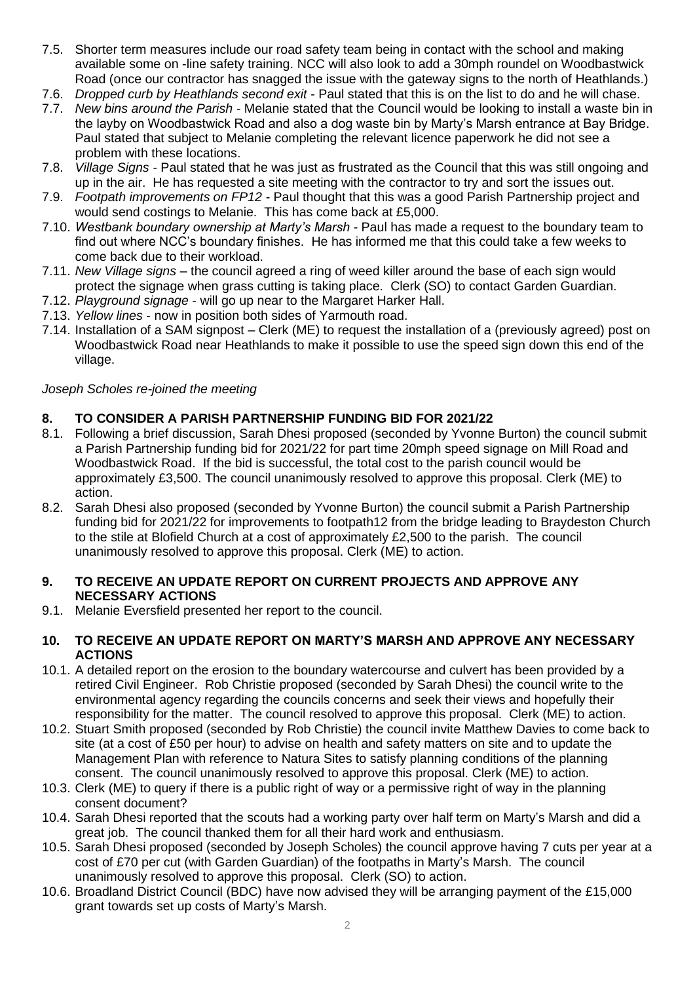- 7.5. Shorter term measures include our road safety team being in contact with the school and making available some on -line safety training. NCC will also look to add a 30mph roundel on Woodbastwick Road (once our contractor has snagged the issue with the gateway signs to the north of Heathlands.)
- 7.6. *Dropped curb by Heathlands second exit* Paul stated that this is on the list to do and he will chase.
- 7.7. *New bins around the Parish -* Melanie stated that the Council would be looking to install a waste bin in the layby on Woodbastwick Road and also a dog waste bin by Marty's Marsh entrance at Bay Bridge. Paul stated that subject to Melanie completing the relevant licence paperwork he did not see a problem with these locations.
- 7.8. *Village Signs -* Paul stated that he was just as frustrated as the Council that this was still ongoing and up in the air. He has requested a site meeting with the contractor to try and sort the issues out.
- 7.9. *Footpath improvements on FP12 -* Paul thought that this was a good Parish Partnership project and would send costings to Melanie. This has come back at £5,000.
- 7.10. *Westbank boundary ownership at Marty's Marsh -* Paul has made a request to the boundary team to find out where NCC's boundary finishes. He has informed me that this could take a few weeks to come back due to their workload.
- 7.11. *New Village signs –* the council agreed a ring of weed killer around the base of each sign would protect the signage when grass cutting is taking place. Clerk (SO) to contact Garden Guardian.
- 7.12. *Playground signage* will go up near to the Margaret Harker Hall.
- 7.13. *Yellow lines* now in position both sides of Yarmouth road.
- 7.14. Installation of a SAM signpost Clerk (ME) to request the installation of a (previously agreed) post on Woodbastwick Road near Heathlands to make it possible to use the speed sign down this end of the village.

## *Joseph Scholes re-joined the meeting*

# **8. TO CONSIDER A PARISH PARTNERSHIP FUNDING BID FOR 2021/22**

- 8.1. Following a brief discussion, Sarah Dhesi proposed (seconded by Yvonne Burton) the council submit a Parish Partnership funding bid for 2021/22 for part time 20mph speed signage on Mill Road and Woodbastwick Road. If the bid is successful, the total cost to the parish council would be approximately £3,500. The council unanimously resolved to approve this proposal. Clerk (ME) to action.
- 8.2. Sarah Dhesi also proposed (seconded by Yvonne Burton) the council submit a Parish Partnership funding bid for 2021/22 for improvements to footpath12 from the bridge leading to Braydeston Church to the stile at Blofield Church at a cost of approximately £2,500 to the parish. The council unanimously resolved to approve this proposal. Clerk (ME) to action.

#### **9. TO RECEIVE AN UPDATE REPORT ON CURRENT PROJECTS AND APPROVE ANY NECESSARY ACTIONS**

9.1. Melanie Eversfield presented her report to the council.

#### **10. TO RECEIVE AN UPDATE REPORT ON MARTY'S MARSH AND APPROVE ANY NECESSARY ACTIONS**

- 10.1. A detailed report on the erosion to the boundary watercourse and culvert has been provided by a retired Civil Engineer. Rob Christie proposed (seconded by Sarah Dhesi) the council write to the environmental agency regarding the councils concerns and seek their views and hopefully their responsibility for the matter. The council resolved to approve this proposal. Clerk (ME) to action.
- 10.2. Stuart Smith proposed (seconded by Rob Christie) the council invite Matthew Davies to come back to site (at a cost of £50 per hour) to advise on health and safety matters on site and to update the Management Plan with reference to Natura Sites to satisfy planning conditions of the planning consent. The council unanimously resolved to approve this proposal. Clerk (ME) to action.
- 10.3. Clerk (ME) to query if there is a public right of way or a permissive right of way in the planning consent document?
- 10.4. Sarah Dhesi reported that the scouts had a working party over half term on Marty's Marsh and did a great job. The council thanked them for all their hard work and enthusiasm.
- 10.5. Sarah Dhesi proposed (seconded by Joseph Scholes) the council approve having 7 cuts per year at a cost of £70 per cut (with Garden Guardian) of the footpaths in Marty's Marsh. The council unanimously resolved to approve this proposal. Clerk (SO) to action.
- 10.6. Broadland District Council (BDC) have now advised they will be arranging payment of the £15,000 grant towards set up costs of Marty's Marsh.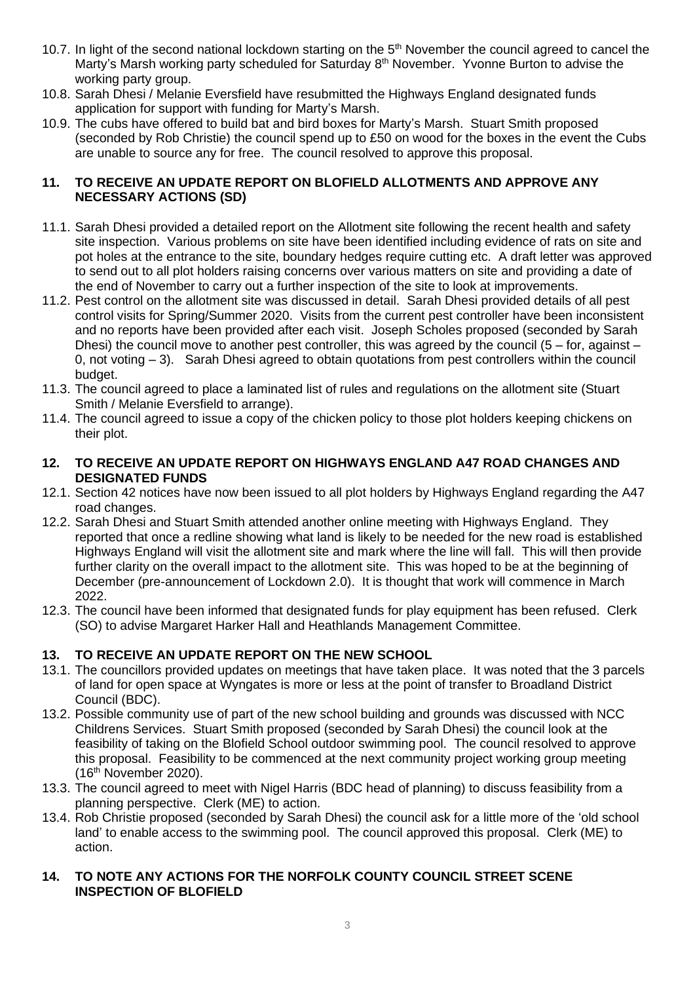- 10.7. In light of the second national lockdown starting on the 5<sup>th</sup> November the council agreed to cancel the Marty's Marsh working party scheduled for Saturday 8<sup>th</sup> November. Yvonne Burton to advise the working party group.
- 10.8. Sarah Dhesi / Melanie Eversfield have resubmitted the Highways England designated funds application for support with funding for Marty's Marsh.
- 10.9. The cubs have offered to build bat and bird boxes for Marty's Marsh. Stuart Smith proposed (seconded by Rob Christie) the council spend up to £50 on wood for the boxes in the event the Cubs are unable to source any for free. The council resolved to approve this proposal.

## **11. TO RECEIVE AN UPDATE REPORT ON BLOFIELD ALLOTMENTS AND APPROVE ANY NECESSARY ACTIONS (SD)**

- 11.1. Sarah Dhesi provided a detailed report on the Allotment site following the recent health and safety site inspection. Various problems on site have been identified including evidence of rats on site and pot holes at the entrance to the site, boundary hedges require cutting etc. A draft letter was approved to send out to all plot holders raising concerns over various matters on site and providing a date of the end of November to carry out a further inspection of the site to look at improvements.
- 11.2. Pest control on the allotment site was discussed in detail. Sarah Dhesi provided details of all pest control visits for Spring/Summer 2020. Visits from the current pest controller have been inconsistent and no reports have been provided after each visit. Joseph Scholes proposed (seconded by Sarah Dhesi) the council move to another pest controller, this was agreed by the council ( $5 -$  for, against  $-$ 0, not voting – 3). Sarah Dhesi agreed to obtain quotations from pest controllers within the council budget.
- 11.3. The council agreed to place a laminated list of rules and regulations on the allotment site (Stuart Smith / Melanie Eversfield to arrange).
- 11.4. The council agreed to issue a copy of the chicken policy to those plot holders keeping chickens on their plot.

#### **12. TO RECEIVE AN UPDATE REPORT ON HIGHWAYS ENGLAND A47 ROAD CHANGES AND DESIGNATED FUNDS**

- 12.1. Section 42 notices have now been issued to all plot holders by Highways England regarding the A47 road changes.
- 12.2. Sarah Dhesi and Stuart Smith attended another online meeting with Highways England. They reported that once a redline showing what land is likely to be needed for the new road is established Highways England will visit the allotment site and mark where the line will fall. This will then provide further clarity on the overall impact to the allotment site. This was hoped to be at the beginning of December (pre-announcement of Lockdown 2.0). It is thought that work will commence in March 2022.
- 12.3. The council have been informed that designated funds for play equipment has been refused. Clerk (SO) to advise Margaret Harker Hall and Heathlands Management Committee.

# **13. TO RECEIVE AN UPDATE REPORT ON THE NEW SCHOOL**

- 13.1. The councillors provided updates on meetings that have taken place. It was noted that the 3 parcels of land for open space at Wyngates is more or less at the point of transfer to Broadland District Council (BDC).
- 13.2. Possible community use of part of the new school building and grounds was discussed with NCC Childrens Services. Stuart Smith proposed (seconded by Sarah Dhesi) the council look at the feasibility of taking on the Blofield School outdoor swimming pool. The council resolved to approve this proposal. Feasibility to be commenced at the next community project working group meeting (16th November 2020).
- 13.3. The council agreed to meet with Nigel Harris (BDC head of planning) to discuss feasibility from a planning perspective. Clerk (ME) to action.
- 13.4. Rob Christie proposed (seconded by Sarah Dhesi) the council ask for a little more of the 'old school land' to enable access to the swimming pool. The council approved this proposal. Clerk (ME) to action.

#### **14. TO NOTE ANY ACTIONS FOR THE NORFOLK COUNTY COUNCIL STREET SCENE INSPECTION OF BLOFIELD**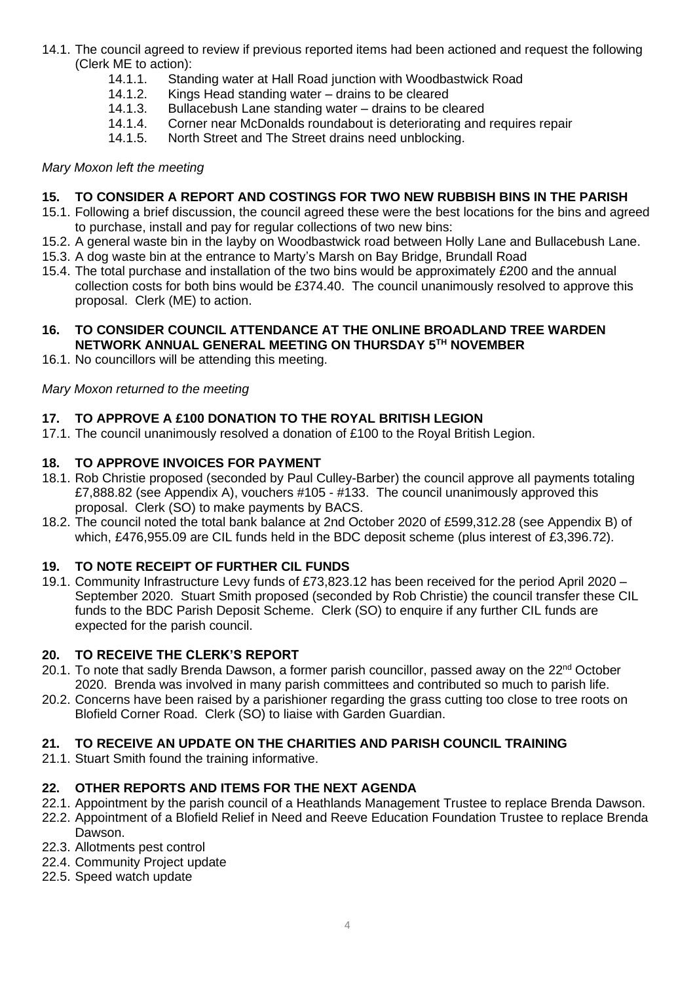- 14.1. The council agreed to review if previous reported items had been actioned and request the following (Clerk ME to action):
	- 14.1.1. Standing water at Hall Road junction with Woodbastwick Road
	- 14.1.2. Kings Head standing water drains to be cleared
	- 14.1.3. Bullacebush Lane standing water drains to be cleared<br>14.1.4. Corner near McDonalds roundabout is deteriorating and
	- Corner near McDonalds roundabout is deteriorating and requires repair
	- 14.1.5. North Street and The Street drains need unblocking.

# *Mary Moxon left the meeting*

# **15. TO CONSIDER A REPORT AND COSTINGS FOR TWO NEW RUBBISH BINS IN THE PARISH**

- 15.1. Following a brief discussion, the council agreed these were the best locations for the bins and agreed to purchase, install and pay for regular collections of two new bins:
- 15.2. A general waste bin in the layby on Woodbastwick road between Holly Lane and Bullacebush Lane.
- 15.3. A dog waste bin at the entrance to Marty's Marsh on Bay Bridge, Brundall Road
- 15.4. The total purchase and installation of the two bins would be approximately £200 and the annual collection costs for both bins would be £374.40. The council unanimously resolved to approve this proposal. Clerk (ME) to action.

## **16. TO CONSIDER COUNCIL ATTENDANCE AT THE ONLINE BROADLAND TREE WARDEN NETWORK ANNUAL GENERAL MEETING ON THURSDAY 5TH NOVEMBER**

16.1. No councillors will be attending this meeting.

# *Mary Moxon returned to the meeting*

# **17. TO APPROVE A £100 DONATION TO THE ROYAL BRITISH LEGION**

17.1. The council unanimously resolved a donation of £100 to the Royal British Legion.

# **18. TO APPROVE INVOICES FOR PAYMENT**

- 18.1. Rob Christie proposed (seconded by Paul Culley-Barber) the council approve all payments totaling £7,888.82 (see Appendix A), vouchers #105 - #133. The council unanimously approved this proposal. Clerk (SO) to make payments by BACS.
- 18.2. The council noted the total bank balance at 2nd October 2020 of £599,312.28 (see Appendix B) of which, £476,955.09 are CIL funds held in the BDC deposit scheme (plus interest of £3,396.72).

# **19. TO NOTE RECEIPT OF FURTHER CIL FUNDS**

19.1. Community Infrastructure Levy funds of £73,823.12 has been received for the period April 2020 – September 2020. Stuart Smith proposed (seconded by Rob Christie) the council transfer these CIL funds to the BDC Parish Deposit Scheme. Clerk (SO) to enquire if any further CIL funds are expected for the parish council.

# **20. TO RECEIVE THE CLERK'S REPORT**

- 20.1. To note that sadly Brenda Dawson, a former parish councillor, passed away on the 22<sup>nd</sup> October 2020. Brenda was involved in many parish committees and contributed so much to parish life.
- 20.2. Concerns have been raised by a parishioner regarding the grass cutting too close to tree roots on Blofield Corner Road. Clerk (SO) to liaise with Garden Guardian.

# **21. TO RECEIVE AN UPDATE ON THE CHARITIES AND PARISH COUNCIL TRAINING**

21.1. Stuart Smith found the training informative.

# **22. OTHER REPORTS AND ITEMS FOR THE NEXT AGENDA**

- 22.1. Appointment by the parish council of a Heathlands Management Trustee to replace Brenda Dawson.
- 22.2. Appointment of a Blofield Relief in Need and Reeve Education Foundation Trustee to replace Brenda Dawson.
- 22.3. Allotments pest control
- 22.4. Community Project update
- 22.5. Speed watch update